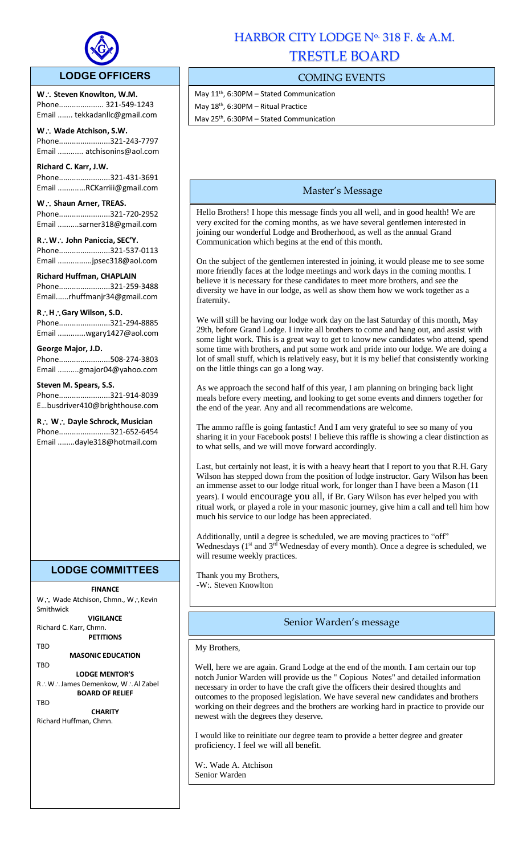

### **LODGE OFFICERS**

W.: Steven Knowlton, W.M. Phone..................... 321-549-1243 Email ....... tekkadanllc@gmail.com

l,

**W Wade Atchison, S.W.** Phone........................321-243-7797 Email ............ atchisonins@aol.com

**Richard C. Karr, J.W.**  Phone........................321-431-3691 Email .............RCKarriii@gmail.com

W.: Shaun Arner, TREAS. Phone........................321-720-2952 Email ..........sarner318@gmail.com

**RW John Paniccia, SEC'Y.** Phone........................321-537-0113 Email ................jpsec318@aol.com

**Richard Huffman, CHAPLAIN** Phone........................321-259-3488 Email......rhuffmanjr34@gmail.com

**RHGary Wilson, S.D.**  Phone........................321-294-8885

Email .............wgary1427@aol.com

**George Major, J.D.**

Phone........................508-274-3803 Email ..........gmajor04@yahoo.com

**Steven M. Spears, S.S.** Phone........................321-914-8039 E…busdriver410@brighthouse.com

**R** ∴ **W** ∴ Dayle Schrock, Musician Phone........................321-652-6454 Email ........dayle318@hotmail.com

## **LODGE COMMITTEES**

**FINANCE**

W∴ Wade Atchison, Chmn., W∴Kevin Smithwick

**VIGILANCE** Richard C. Karr, Chmn.

**PETITIONS** TBD

**MASONIC EDUCATION**

TBD **LODGE MENTOR'S** R∴W∴James Demenkow, W∴Al Zabel **BOARD OF RELIEF**

**TRD** 

**CHARITY** Richard Huffman, Chmn.

# HARBOR CITY LODGE Nº 318 F. & A.M. TRESTLE BOARD

## COMING EVENTS

May 11<sup>th</sup>, 6:30PM - Stated Communication May 18th, 6:30PM – Ritual Practice May 25th, 6:30PM – Stated Communication

## Master's Message

Hello Brothers! I hope this message finds you all well, and in good health! We are very excited for the coming months, as we have several gentlemen interested in joining our wonderful Lodge and Brotherhood, as well as the annual Grand Communication which begins at the end of this month.

On the subject of the gentlemen interested in joining, it would please me to see some more friendly faces at the lodge meetings and work days in the coming months. I believe it is necessary for these candidates to meet more brothers, and see the diversity we have in our lodge, as well as show them how we work together as a fraternity.

We will still be having our lodge work day on the last Saturday of this month, May 29th, before Grand Lodge. I invite all brothers to come and hang out, and assist with some light work. This is a great way to get to know new candidates who attend, spend some time with brothers, and put some work and pride into our lodge. We are doing a lot of small stuff, which is relatively easy, but it is my belief that consistently working on the little things can go a long way.

As we approach the second half of this year, I am planning on bringing back light meals before every meeting, and looking to get some events and dinners together for the end of the year. Any and all recommendations are welcome.

The ammo raffle is going fantastic! And I am very grateful to see so many of you sharing it in your Facebook posts! I believe this raffle is showing a clear distinction as to what sells, and we will move forward accordingly.

Last, but certainly not least, it is with a heavy heart that I report to you that R.H. Gary Wilson has stepped down from the position of lodge instructor. Gary Wilson has been an immense asset to our lodge ritual work, for longer than I have been a Mason (11 years). I would encourage you all, if Br. Gary Wilson has ever helped you with ritual work, or played a role in your masonic journey, give him a call and tell him how much his service to our lodge has been appreciated.

Additionally, until a degree is scheduled, we are moving practices to "off" Wednesdays  $(1<sup>st</sup>$  and  $3<sup>rd</sup>$  Wednesday of every month). Once a degree is scheduled, we will resume weekly practices.

Thank you my Brothers, -W:. Steven Knowlton

### Senior Warden's message

My Brothers,

Well, here we are again. Grand Lodge at the end of the month. I am certain our top notch Junior Warden will provide us the " Copious Notes" and detailed information necessary in order to have the craft give the officers their desired thoughts and outcomes to the proposed legislation. We have several new candidates and brothers working on their degrees and the brothers are working hard in practice to provide our newest with the degrees they deserve.

I would like to reinitiate our degree team to provide a better degree and greater proficiency. I feel we will all benefit.

W:. Wade A. Atchison Senior Warden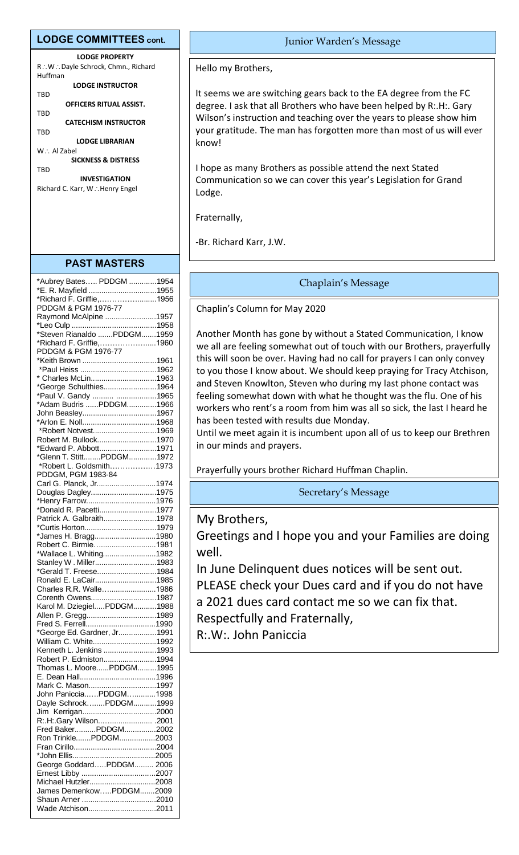#### **LODGE COMMITTEES cont.**

**LODGE PROPERTY** R.: W.: Dayle Schrock, Chmn., Richard Huffman **LODGE INSTRUCTOR** TBD **OFFICERS RITUAL ASSIST.**

TBD **CATECHISM INSTRUCTOR**

TBD

**LODGE LIBRARIAN** W∴ Al Zabel

**SICKNESS & DISTRESS TRD** 

**INVESTIGATION** Richard C. Karr, W.: Henry Engel

#### **PAST MASTERS**

| *E. R. Mayfield 1955<br>*Richard F. Griffie,1956<br>PDDGM & PGM 1976-77<br>Raymond McAlpine 1957<br>*Steven Rianaldo PDDGM1959<br>*Richard F. Griffie,1960<br>PDDGM & PGM 1976-77<br>*Keith Brown 1961<br>* Charles McLin1963<br>*George Schulthies1964<br>*Paul V. Gandy  1965<br>*Adam Budris PDDGM1966<br>John Beasley1967<br>*Robert Notvest1969<br>Robert M. Bullock1970<br>*Edward P. Abbott1971<br>*Glenn T. StittPDDGM1972<br>*Robert L. Goldsmith1973<br>PDDGM, PGM 1983-84<br>Carl G. Planck, Jr1974<br>Douglas Dagley1975<br>*Henry Farrow1976<br>*Donald R. Pacetti1977<br>Patrick A. Galbraith1978<br>*James H. Bragg1980<br>Robert C. Birmie1981<br>*Wallace L. Whiting1982<br>Stanley W. Miller1983<br>*Gerald T. Freese1984<br>Ronald E. LaCair1985<br>Charles R.R. Walle1986<br>Corenth Owens1987<br>Karol M. DziegielPDDGM1988<br>Allen P. Gregg1989<br>*George Ed. Gardner, Jr1991<br>William C. White1992<br>Kenneth L. Jenkins 1993<br>Robert P. Edmiston1994<br>Thomas L. MoorePDDGM1995<br>Mark C. Mason1997<br>John PanicciaPDDGM1998<br>Dayle SchrockPDDGM1999<br>R:.H:.Gary Wilson .2001<br>Fred BakerPDDGM2002<br>Ron TrinklePDDGM2003<br>George GoddardPDDGM 2006<br>Michael Hutzler2008<br>James DemenkowPDDGM2009<br>Wade Atchison2011 | *Aubrey Bates PDDGM 1954 |  |
|----------------------------------------------------------------------------------------------------------------------------------------------------------------------------------------------------------------------------------------------------------------------------------------------------------------------------------------------------------------------------------------------------------------------------------------------------------------------------------------------------------------------------------------------------------------------------------------------------------------------------------------------------------------------------------------------------------------------------------------------------------------------------------------------------------------------------------------------------------------------------------------------------------------------------------------------------------------------------------------------------------------------------------------------------------------------------------------------------------------------------------------------------------------------------------------------------------------------------------------------------------------------|--------------------------|--|
|                                                                                                                                                                                                                                                                                                                                                                                                                                                                                                                                                                                                                                                                                                                                                                                                                                                                                                                                                                                                                                                                                                                                                                                                                                                                      |                          |  |
|                                                                                                                                                                                                                                                                                                                                                                                                                                                                                                                                                                                                                                                                                                                                                                                                                                                                                                                                                                                                                                                                                                                                                                                                                                                                      |                          |  |
|                                                                                                                                                                                                                                                                                                                                                                                                                                                                                                                                                                                                                                                                                                                                                                                                                                                                                                                                                                                                                                                                                                                                                                                                                                                                      |                          |  |
|                                                                                                                                                                                                                                                                                                                                                                                                                                                                                                                                                                                                                                                                                                                                                                                                                                                                                                                                                                                                                                                                                                                                                                                                                                                                      |                          |  |
|                                                                                                                                                                                                                                                                                                                                                                                                                                                                                                                                                                                                                                                                                                                                                                                                                                                                                                                                                                                                                                                                                                                                                                                                                                                                      |                          |  |
|                                                                                                                                                                                                                                                                                                                                                                                                                                                                                                                                                                                                                                                                                                                                                                                                                                                                                                                                                                                                                                                                                                                                                                                                                                                                      |                          |  |
|                                                                                                                                                                                                                                                                                                                                                                                                                                                                                                                                                                                                                                                                                                                                                                                                                                                                                                                                                                                                                                                                                                                                                                                                                                                                      |                          |  |
|                                                                                                                                                                                                                                                                                                                                                                                                                                                                                                                                                                                                                                                                                                                                                                                                                                                                                                                                                                                                                                                                                                                                                                                                                                                                      |                          |  |
|                                                                                                                                                                                                                                                                                                                                                                                                                                                                                                                                                                                                                                                                                                                                                                                                                                                                                                                                                                                                                                                                                                                                                                                                                                                                      |                          |  |
|                                                                                                                                                                                                                                                                                                                                                                                                                                                                                                                                                                                                                                                                                                                                                                                                                                                                                                                                                                                                                                                                                                                                                                                                                                                                      |                          |  |
|                                                                                                                                                                                                                                                                                                                                                                                                                                                                                                                                                                                                                                                                                                                                                                                                                                                                                                                                                                                                                                                                                                                                                                                                                                                                      |                          |  |
|                                                                                                                                                                                                                                                                                                                                                                                                                                                                                                                                                                                                                                                                                                                                                                                                                                                                                                                                                                                                                                                                                                                                                                                                                                                                      |                          |  |
|                                                                                                                                                                                                                                                                                                                                                                                                                                                                                                                                                                                                                                                                                                                                                                                                                                                                                                                                                                                                                                                                                                                                                                                                                                                                      |                          |  |
|                                                                                                                                                                                                                                                                                                                                                                                                                                                                                                                                                                                                                                                                                                                                                                                                                                                                                                                                                                                                                                                                                                                                                                                                                                                                      |                          |  |
|                                                                                                                                                                                                                                                                                                                                                                                                                                                                                                                                                                                                                                                                                                                                                                                                                                                                                                                                                                                                                                                                                                                                                                                                                                                                      |                          |  |
|                                                                                                                                                                                                                                                                                                                                                                                                                                                                                                                                                                                                                                                                                                                                                                                                                                                                                                                                                                                                                                                                                                                                                                                                                                                                      |                          |  |
|                                                                                                                                                                                                                                                                                                                                                                                                                                                                                                                                                                                                                                                                                                                                                                                                                                                                                                                                                                                                                                                                                                                                                                                                                                                                      |                          |  |
|                                                                                                                                                                                                                                                                                                                                                                                                                                                                                                                                                                                                                                                                                                                                                                                                                                                                                                                                                                                                                                                                                                                                                                                                                                                                      |                          |  |
|                                                                                                                                                                                                                                                                                                                                                                                                                                                                                                                                                                                                                                                                                                                                                                                                                                                                                                                                                                                                                                                                                                                                                                                                                                                                      |                          |  |
|                                                                                                                                                                                                                                                                                                                                                                                                                                                                                                                                                                                                                                                                                                                                                                                                                                                                                                                                                                                                                                                                                                                                                                                                                                                                      |                          |  |
|                                                                                                                                                                                                                                                                                                                                                                                                                                                                                                                                                                                                                                                                                                                                                                                                                                                                                                                                                                                                                                                                                                                                                                                                                                                                      |                          |  |
|                                                                                                                                                                                                                                                                                                                                                                                                                                                                                                                                                                                                                                                                                                                                                                                                                                                                                                                                                                                                                                                                                                                                                                                                                                                                      |                          |  |
|                                                                                                                                                                                                                                                                                                                                                                                                                                                                                                                                                                                                                                                                                                                                                                                                                                                                                                                                                                                                                                                                                                                                                                                                                                                                      |                          |  |
|                                                                                                                                                                                                                                                                                                                                                                                                                                                                                                                                                                                                                                                                                                                                                                                                                                                                                                                                                                                                                                                                                                                                                                                                                                                                      |                          |  |
|                                                                                                                                                                                                                                                                                                                                                                                                                                                                                                                                                                                                                                                                                                                                                                                                                                                                                                                                                                                                                                                                                                                                                                                                                                                                      |                          |  |
|                                                                                                                                                                                                                                                                                                                                                                                                                                                                                                                                                                                                                                                                                                                                                                                                                                                                                                                                                                                                                                                                                                                                                                                                                                                                      |                          |  |
|                                                                                                                                                                                                                                                                                                                                                                                                                                                                                                                                                                                                                                                                                                                                                                                                                                                                                                                                                                                                                                                                                                                                                                                                                                                                      |                          |  |
|                                                                                                                                                                                                                                                                                                                                                                                                                                                                                                                                                                                                                                                                                                                                                                                                                                                                                                                                                                                                                                                                                                                                                                                                                                                                      |                          |  |
|                                                                                                                                                                                                                                                                                                                                                                                                                                                                                                                                                                                                                                                                                                                                                                                                                                                                                                                                                                                                                                                                                                                                                                                                                                                                      |                          |  |
|                                                                                                                                                                                                                                                                                                                                                                                                                                                                                                                                                                                                                                                                                                                                                                                                                                                                                                                                                                                                                                                                                                                                                                                                                                                                      |                          |  |
|                                                                                                                                                                                                                                                                                                                                                                                                                                                                                                                                                                                                                                                                                                                                                                                                                                                                                                                                                                                                                                                                                                                                                                                                                                                                      |                          |  |
|                                                                                                                                                                                                                                                                                                                                                                                                                                                                                                                                                                                                                                                                                                                                                                                                                                                                                                                                                                                                                                                                                                                                                                                                                                                                      |                          |  |
|                                                                                                                                                                                                                                                                                                                                                                                                                                                                                                                                                                                                                                                                                                                                                                                                                                                                                                                                                                                                                                                                                                                                                                                                                                                                      |                          |  |
|                                                                                                                                                                                                                                                                                                                                                                                                                                                                                                                                                                                                                                                                                                                                                                                                                                                                                                                                                                                                                                                                                                                                                                                                                                                                      |                          |  |
|                                                                                                                                                                                                                                                                                                                                                                                                                                                                                                                                                                                                                                                                                                                                                                                                                                                                                                                                                                                                                                                                                                                                                                                                                                                                      |                          |  |
|                                                                                                                                                                                                                                                                                                                                                                                                                                                                                                                                                                                                                                                                                                                                                                                                                                                                                                                                                                                                                                                                                                                                                                                                                                                                      |                          |  |
|                                                                                                                                                                                                                                                                                                                                                                                                                                                                                                                                                                                                                                                                                                                                                                                                                                                                                                                                                                                                                                                                                                                                                                                                                                                                      |                          |  |
|                                                                                                                                                                                                                                                                                                                                                                                                                                                                                                                                                                                                                                                                                                                                                                                                                                                                                                                                                                                                                                                                                                                                                                                                                                                                      |                          |  |
|                                                                                                                                                                                                                                                                                                                                                                                                                                                                                                                                                                                                                                                                                                                                                                                                                                                                                                                                                                                                                                                                                                                                                                                                                                                                      |                          |  |
|                                                                                                                                                                                                                                                                                                                                                                                                                                                                                                                                                                                                                                                                                                                                                                                                                                                                                                                                                                                                                                                                                                                                                                                                                                                                      |                          |  |
|                                                                                                                                                                                                                                                                                                                                                                                                                                                                                                                                                                                                                                                                                                                                                                                                                                                                                                                                                                                                                                                                                                                                                                                                                                                                      |                          |  |
|                                                                                                                                                                                                                                                                                                                                                                                                                                                                                                                                                                                                                                                                                                                                                                                                                                                                                                                                                                                                                                                                                                                                                                                                                                                                      |                          |  |
|                                                                                                                                                                                                                                                                                                                                                                                                                                                                                                                                                                                                                                                                                                                                                                                                                                                                                                                                                                                                                                                                                                                                                                                                                                                                      |                          |  |
|                                                                                                                                                                                                                                                                                                                                                                                                                                                                                                                                                                                                                                                                                                                                                                                                                                                                                                                                                                                                                                                                                                                                                                                                                                                                      |                          |  |
|                                                                                                                                                                                                                                                                                                                                                                                                                                                                                                                                                                                                                                                                                                                                                                                                                                                                                                                                                                                                                                                                                                                                                                                                                                                                      |                          |  |
|                                                                                                                                                                                                                                                                                                                                                                                                                                                                                                                                                                                                                                                                                                                                                                                                                                                                                                                                                                                                                                                                                                                                                                                                                                                                      |                          |  |
|                                                                                                                                                                                                                                                                                                                                                                                                                                                                                                                                                                                                                                                                                                                                                                                                                                                                                                                                                                                                                                                                                                                                                                                                                                                                      |                          |  |
|                                                                                                                                                                                                                                                                                                                                                                                                                                                                                                                                                                                                                                                                                                                                                                                                                                                                                                                                                                                                                                                                                                                                                                                                                                                                      |                          |  |
|                                                                                                                                                                                                                                                                                                                                                                                                                                                                                                                                                                                                                                                                                                                                                                                                                                                                                                                                                                                                                                                                                                                                                                                                                                                                      |                          |  |
|                                                                                                                                                                                                                                                                                                                                                                                                                                                                                                                                                                                                                                                                                                                                                                                                                                                                                                                                                                                                                                                                                                                                                                                                                                                                      |                          |  |
|                                                                                                                                                                                                                                                                                                                                                                                                                                                                                                                                                                                                                                                                                                                                                                                                                                                                                                                                                                                                                                                                                                                                                                                                                                                                      |                          |  |
|                                                                                                                                                                                                                                                                                                                                                                                                                                                                                                                                                                                                                                                                                                                                                                                                                                                                                                                                                                                                                                                                                                                                                                                                                                                                      |                          |  |
|                                                                                                                                                                                                                                                                                                                                                                                                                                                                                                                                                                                                                                                                                                                                                                                                                                                                                                                                                                                                                                                                                                                                                                                                                                                                      |                          |  |
|                                                                                                                                                                                                                                                                                                                                                                                                                                                                                                                                                                                                                                                                                                                                                                                                                                                                                                                                                                                                                                                                                                                                                                                                                                                                      |                          |  |
|                                                                                                                                                                                                                                                                                                                                                                                                                                                                                                                                                                                                                                                                                                                                                                                                                                                                                                                                                                                                                                                                                                                                                                                                                                                                      |                          |  |
|                                                                                                                                                                                                                                                                                                                                                                                                                                                                                                                                                                                                                                                                                                                                                                                                                                                                                                                                                                                                                                                                                                                                                                                                                                                                      |                          |  |
|                                                                                                                                                                                                                                                                                                                                                                                                                                                                                                                                                                                                                                                                                                                                                                                                                                                                                                                                                                                                                                                                                                                                                                                                                                                                      |                          |  |
|                                                                                                                                                                                                                                                                                                                                                                                                                                                                                                                                                                                                                                                                                                                                                                                                                                                                                                                                                                                                                                                                                                                                                                                                                                                                      |                          |  |
|                                                                                                                                                                                                                                                                                                                                                                                                                                                                                                                                                                                                                                                                                                                                                                                                                                                                                                                                                                                                                                                                                                                                                                                                                                                                      |                          |  |
|                                                                                                                                                                                                                                                                                                                                                                                                                                                                                                                                                                                                                                                                                                                                                                                                                                                                                                                                                                                                                                                                                                                                                                                                                                                                      |                          |  |
|                                                                                                                                                                                                                                                                                                                                                                                                                                                                                                                                                                                                                                                                                                                                                                                                                                                                                                                                                                                                                                                                                                                                                                                                                                                                      |                          |  |

#### Junior Warden's Message

Hello my Brothers,

It seems we are switching gears back to the EA degree from the FC degree. I ask that all Brothers who have been helped by R:.H:. Gary Wilson's instruction and teaching over the years to please show him your gratitude. The man has forgotten more than most of us will ever know!

I hope as many Brothers as possible attend the next Stated Communication so we can cover this year's Legislation for Grand Lodge.

Fraternally,

-Br. Richard Karr, J.W.

#### Chaplain's Message

Chaplin's Column for May 2020

Another Month has gone by without a Stated Communication, I know we all are feeling somewhat out of touch with our Brothers, prayerfully this will soon be over. Having had no call for prayers I can only convey to you those I know about. We should keep praying for Tracy Atchison, and Steven Knowlton, Steven who during my last phone contact was feeling somewhat down with what he thought was the flu. One of his workers who rent's a room from him was all so sick, the last I heard he has been tested with results due Monday.

Until we meet again it is incumbent upon all of us to keep our Brethren in our minds and prayers.

Prayerfully yours brother Richard Huffman Chaplin.

Secretary's Message

My Brothers,

Greetings and I hope you and your Families are doing well.

In June Delinquent dues notices will be sent out.

PLEASE check your Dues card and if you do not have

a 2021 dues card contact me so we can fix that.

Respectfully and Fraternally,

R:.W:. John Paniccia